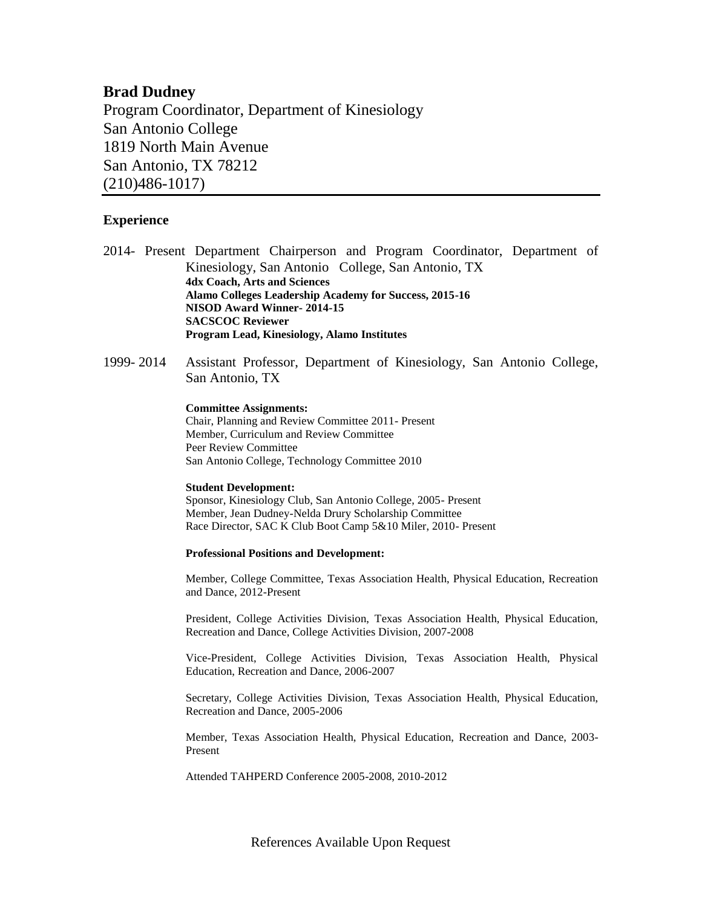# **Brad Dudney**

Program Coordinator, Department of Kinesiology San Antonio College 1819 North Main Avenue San Antonio, TX 78212 (210)486-1017)

## **Experience**

- 2014- Present Department Chairperson and Program Coordinator, Department of Kinesiology, San Antonio College, San Antonio, TX **4dx Coach, Arts and Sciences Alamo Colleges Leadership Academy for Success, 2015-16 NISOD Award Winner- 2014-15 SACSCOC Reviewer Program Lead, Kinesiology, Alamo Institutes**
- 1999- 2014 Assistant Professor, Department of Kinesiology, San Antonio College, San Antonio, TX

#### **Committee Assignments:**

Chair, Planning and Review Committee 2011- Present Member, Curriculum and Review Committee Peer Review Committee San Antonio College, Technology Committee 2010

#### **Student Development:**

Sponsor, Kinesiology Club, San Antonio College, 2005- Present Member, Jean Dudney-Nelda Drury Scholarship Committee Race Director, SAC K Club Boot Camp 5&10 Miler, 2010- Present

#### **Professional Positions and Development:**

Member, College Committee, Texas Association Health, Physical Education, Recreation and Dance, 2012-Present

President, College Activities Division, Texas Association Health, Physical Education, Recreation and Dance, College Activities Division, 2007-2008

Vice-President, College Activities Division, Texas Association Health, Physical Education, Recreation and Dance, 2006-2007

Secretary, College Activities Division, Texas Association Health, Physical Education, Recreation and Dance, 2005-2006

Member, Texas Association Health, Physical Education, Recreation and Dance, 2003- Present

Attended TAHPERD Conference 2005-2008, 2010-2012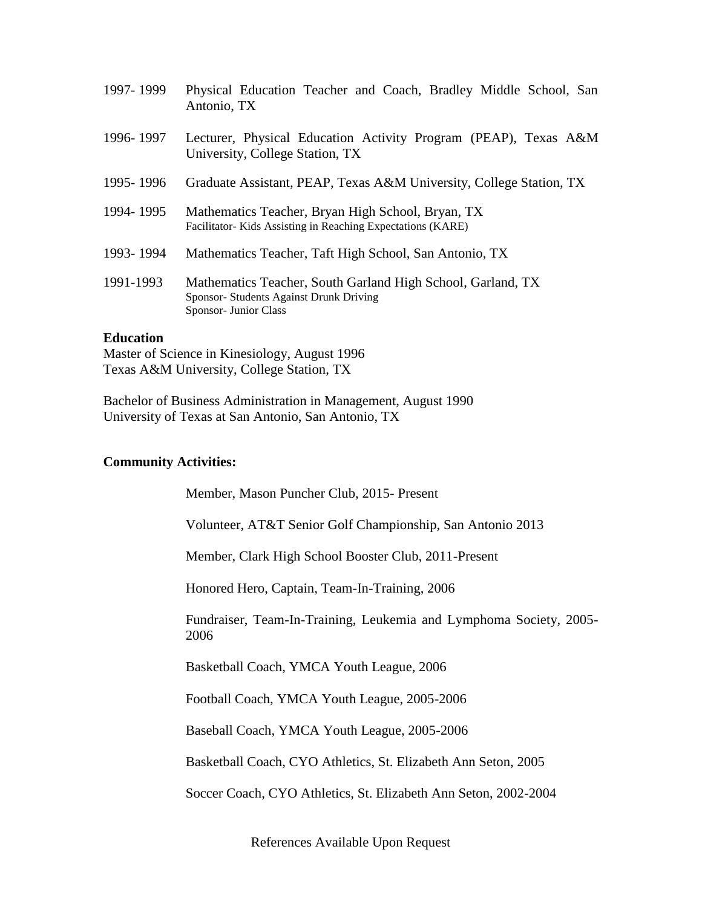| 1997-1999 | Physical Education Teacher and Coach, Bradley Middle School, San<br>Antonio, TX                                                 |
|-----------|---------------------------------------------------------------------------------------------------------------------------------|
| 1996-1997 | Lecturer, Physical Education Activity Program (PEAP), Texas A&M<br>University, College Station, TX                              |
| 1995-1996 | Graduate Assistant, PEAP, Texas A&M University, College Station, TX                                                             |
| 1994-1995 | Mathematics Teacher, Bryan High School, Bryan, TX<br>Facilitator-Kids Assisting in Reaching Expectations (KARE)                 |
| 1993-1994 | Mathematics Teacher, Taft High School, San Antonio, TX                                                                          |
| 1991-1993 | Mathematics Teacher, South Garland High School, Garland, TX<br>Sponsor- Students Against Drunk Driving<br>Sponsor- Junior Class |

### **Education**

Master of Science in Kinesiology, August 1996 Texas A&M University, College Station, TX

Bachelor of Business Administration in Management, August 1990 University of Texas at San Antonio, San Antonio, TX

## **Community Activities:**

Member, Mason Puncher Club, 2015- Present

Volunteer, AT&T Senior Golf Championship, San Antonio 2013

Member, Clark High School Booster Club, 2011-Present

Honored Hero, Captain, Team-In-Training, 2006

Fundraiser, Team-In-Training, Leukemia and Lymphoma Society, 2005- 2006

Basketball Coach, YMCA Youth League, 2006

Football Coach, YMCA Youth League, 2005-2006

Baseball Coach, YMCA Youth League, 2005-2006

Basketball Coach, CYO Athletics, St. Elizabeth Ann Seton, 2005

Soccer Coach, CYO Athletics, St. Elizabeth Ann Seton, 2002-2004

References Available Upon Request